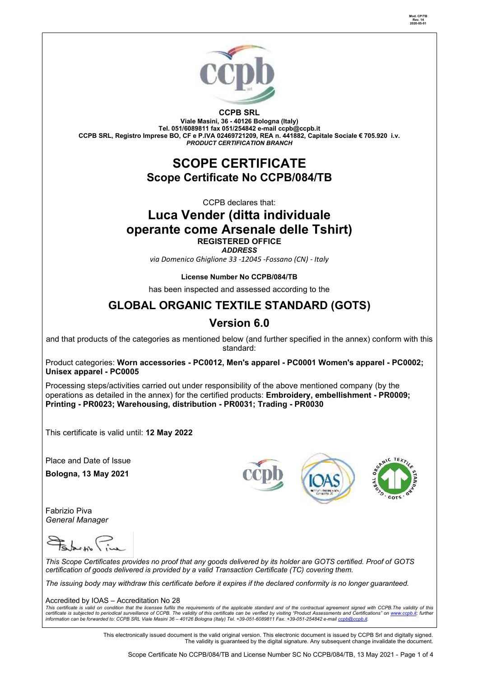

**CCPB SRL**

**Viale Masini, 36 - 40126 Bologna (Italy) Tel. 051/6089811 fax 051/254842 e-mail [ccpb@ccpb.it](mailto:ccpb@ccpb.it) CCPB SRL, Registro Imprese BO, CF e P.IVA 02469721209, REA n. 441882, Capitale Sociale € 705.920 i.v.** *PRODUCT CERTIFICATION BRANCH*

## **SCOPE CERTIFICATE Scope Certificate No CCPB/084/TB**

CCPB declares that:

# **Luca Vender (ditta individuale operante come Arsenale delle Tshirt)**

**REGISTERED OFFICE** *ADDRESS*

*via Domenico Ghiglione 33 -12045 -Fossano (CN) - Italy*

## **License Number No CCPB/084/TB**

has been inspected and assessed according to the

## **GLOBAL ORGANIC TEXTILE STANDARD (GOTS)**

## **Version 6.0**

and that products of the categories as mentioned below (and further specified in the annex) conform with this standard:

Product categories: **Worn accessories - PC0012, Men's apparel - PC0001 Women's apparel - PC0002; Unisex apparel - PC0005**

Processing steps/activities carried out under responsibility of the above mentioned company (by the operations as detailed in the annex) for the certified products: **Embroidery, embellishment - PR0009; Printing - PR0023; Warehousing, distribution - PR0031; Trading - PR0030**

This certificate is valid until: **12 May 2022**

Place and Date of Issue

**Bologna, 13 May 2021**

Fabrizio Piva *General Manager* 







**Mod. CP/TB Rev. 14 2020-05-01**

*This Scope Certificates provides no proof that any goods delivered by its holder are GOTS certified. Proof of GOTS certification of goods delivered is provided by a valid Transaction Certificate (TC) covering them.*

*The issuing body may withdraw this certificate before it expires if the declared conformity is no longer guaranteed.*

Accredited by IOAS – Accreditation No 28

This certificate is valid on condition that the licensee fulfils the requirements of the applicable standard and of the contractual agreement signed with CCPB.The validity of this<br>certificate is subjected to periodical sur

This electronically issued document is the valid original version. This electronic document is issued by CCPB Srl and digitally signed. The validity is guaranteed by the digital signature. Any subsequent change invalidate the document.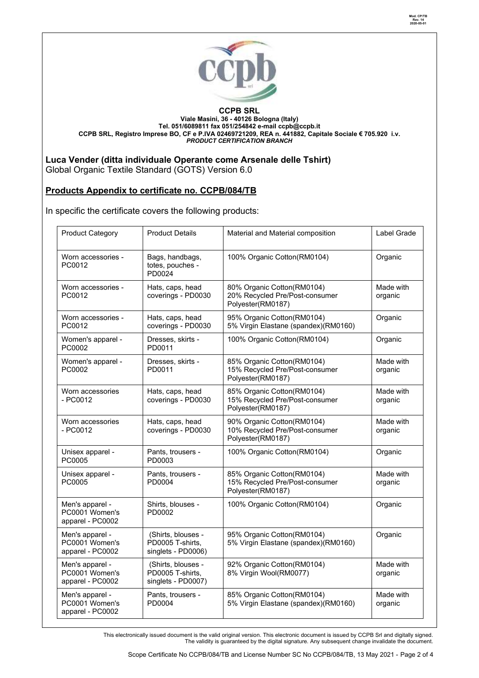

#### **CCPB SRL Viale Masini, 36 - 40126 Bologna (Italy) Tel. 051/6089811 fax 051/254842 e-mail [ccpb@ccpb.it](mailto:ccpb@ccpb.it) CCPB SRL, Registro Imprese BO, CF e P.IVA 02469721209, REA n. 441882, Capitale Sociale € 705.920 i.v.** *PRODUCT CERTIFICATION BRANCH*

## **Luca Vender (ditta individuale Operante come Arsenale delle Tshirt)**

Global Organic Textile Standard (GOTS) Version 6.0

## **Products Appendix to certificate no. CCPB/084/TB**

In specific the certificate covers the following products:

| <b>Product Category</b>                               | <b>Product Details</b>                                       | Material and Material composition                                                 | Label Grade          |
|-------------------------------------------------------|--------------------------------------------------------------|-----------------------------------------------------------------------------------|----------------------|
| Worn accessories -<br>PC0012                          | Bags, handbags,<br>totes, pouches -<br>PD0024                | 100% Organic Cotton(RM0104)                                                       | Organic              |
| Worn accessories -<br>PC0012                          | Hats, caps, head<br>coverings - PD0030                       | 80% Organic Cotton(RM0104)<br>20% Recycled Pre/Post-consumer<br>Polyester(RM0187) | Made with<br>organic |
| Worn accessories -<br>PC0012                          | Hats, caps, head<br>coverings - PD0030                       | 95% Organic Cotton(RM0104)<br>5% Virgin Elastane (spandex)(RM0160)                | Organic              |
| Women's apparel -<br>PC0002                           | Dresses, skirts -<br>PD0011                                  | 100% Organic Cotton(RM0104)                                                       | Organic              |
| Women's apparel -<br>PC0002                           | Dresses, skirts -<br>PD0011                                  | 85% Organic Cotton(RM0104)<br>15% Recycled Pre/Post-consumer<br>Polyester(RM0187) | Made with<br>organic |
| Worn accessories<br>$-$ PC0012                        | Hats, caps, head<br>coverings - PD0030                       | 85% Organic Cotton(RM0104)<br>15% Recycled Pre/Post-consumer<br>Polyester(RM0187) | Made with<br>organic |
| Worn accessories<br>- PC0012                          | Hats, caps, head<br>coverings - PD0030                       | 90% Organic Cotton(RM0104)<br>10% Recycled Pre/Post-consumer<br>Polyester(RM0187) | Made with<br>organic |
| Unisex apparel -<br>PC0005                            | Pants, trousers -<br>PD0003                                  | 100% Organic Cotton(RM0104)                                                       | Organic              |
| Unisex apparel -<br>PC0005                            | Pants, trousers -<br>PD0004                                  | 85% Organic Cotton(RM0104)<br>15% Recycled Pre/Post-consumer<br>Polyester(RM0187) | Made with<br>organic |
| Men's apparel -<br>PC0001 Women's<br>apparel - PC0002 | Shirts, blouses -<br>PD0002                                  | 100% Organic Cotton(RM0104)                                                       | Organic              |
| Men's apparel -<br>PC0001 Women's<br>apparel - PC0002 | (Shirts, blouses -<br>PD0005 T-shirts,<br>singlets - PD0006) | 95% Organic Cotton(RM0104)<br>5% Virgin Elastane (spandex)(RM0160)                | Organic              |
| Men's apparel -<br>PC0001 Women's<br>apparel - PC0002 | (Shirts, blouses -<br>PD0005 T-shirts,<br>singlets - PD0007) | 92% Organic Cotton(RM0104)<br>8% Virgin Wool(RM0077)                              | Made with<br>organic |
| Men's apparel -<br>PC0001 Women's<br>apparel - PC0002 | Pants, trousers -<br>PD0004                                  | 85% Organic Cotton(RM0104)<br>5% Virgin Elastane (spandex)(RM0160)                | Made with<br>organic |

This electronically issued document is the valid original version. This electronic document is issued by CCPB Srl and digitally signed. The validity is guaranteed by the digital signature. Any subsequent change invalidate the document.

**Mod. CP/TB Rev. 14 2020-05-01**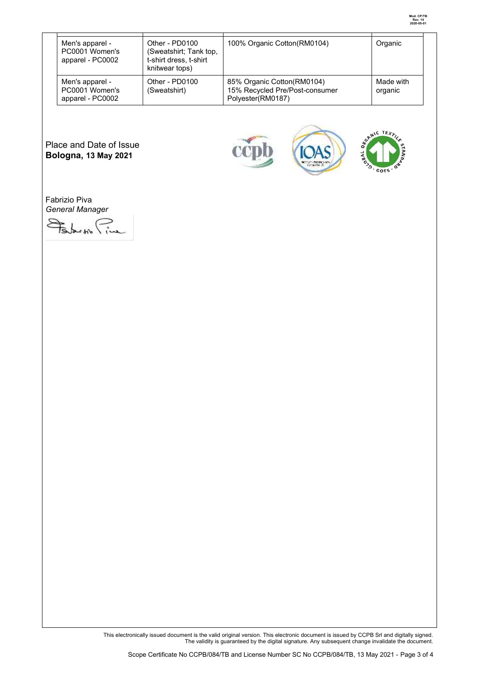|  | Men's apparel -<br>PC0001 Women's<br>apparel - PC0002 | Other - PD0100<br>(Sweatshirt; Tank top,<br>t-shirt dress, t-shirt<br>knitwear tops) | 100% Organic Cotton(RM0104)                                                       | Organic              |
|--|-------------------------------------------------------|--------------------------------------------------------------------------------------|-----------------------------------------------------------------------------------|----------------------|
|  | Men's apparel -<br>PC0001 Women's<br>apparel - PC0002 | Other - PD0100<br>(Sweatshirt)                                                       | 85% Organic Cotton(RM0104)<br>15% Recycled Pre/Post-consumer<br>Polyester(RM0187) | Made with<br>organic |

Place and Date of Issue **Bologna, 13 May 2021**







Fabrizio Piva *General Manager* 

Solar Pine

This electronically issued document is the valid original version. This electronic document is issued by CCPB Srl and digitally signed. The validity is guaranteed by the digital signature. Any subsequent change invalidate the document.